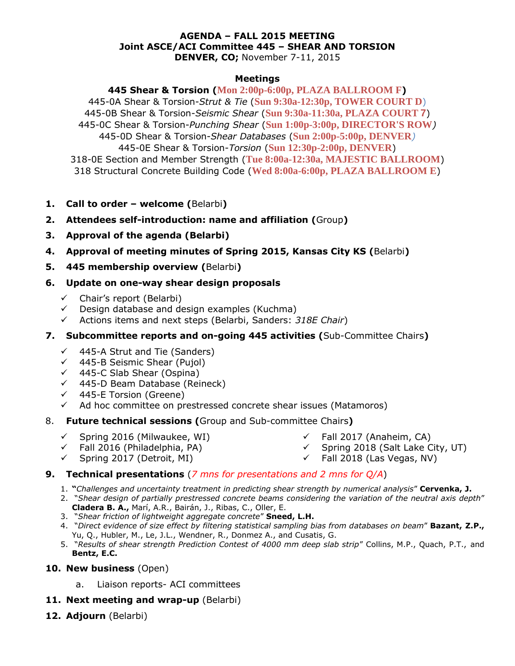#### **AGENDA – FALL 2015 MEETING Joint ASCE/ACI Committee 445 – SHEAR AND TORSION DENVER, CO;** November 7-11, 2015

#### **Meetings**

**445 Shear & Torsion (Mon 2:00p-6:00p, PLAZA BALLROOM F)** 445-0A Shear & Torsion-*Strut & Tie* (**Sun 9:30a-12:30p, TOWER COURT D**) 445-0B Shear & Torsion-*Seismic Shear* (**Sun 9:30a-11:30a, PLAZA COURT 7**) 445-0C Shear & Torsion-*Punching Shear* (**Sun 1:00p-3:00p, DIRECTOR'S ROW***)* 445-0D Shear & Torsion-*Shear Databases* (**Sun 2:00p-5:00p, DENVER***)* 445-0E Shear & Torsion-*Torsion* (**Sun 12:30p-2:00p, DENVER**) 318-0E Section and Member Strength (**Tue 8:00a-12:30a, MAJESTIC BALLROOM**) 318 Structural Concrete Building Code (**Wed 8:00a-6:00p, PLAZA BALLROOM E**)

- **1. Call to order – welcome (**Belarbi**)**
- **2. Attendees self-introduction: name and affiliation (**Group**)**
- **3. Approval of the agenda (Belarbi)**
- **4. Approval of meeting minutes of Spring 2015, Kansas City KS (**Belarbi**)**
- **5. 445 membership overview (**Belarbi**)**

### **6. Update on one-way shear design proposals**

- $\checkmark$  Chair's report (Belarbi)
- $\checkmark$  Design database and design examples (Kuchma)
- Actions items and next steps (Belarbi, Sanders: *318E Chair*)

### **7. Subcommittee reports and on-going 445 activities (**Sub-Committee Chairs**)**

- $\checkmark$  445-A Strut and Tie (Sanders)
- $\checkmark$  445-B Seismic Shear (Pujol)
- $\checkmark$  445-C Slab Shear (Ospina)
- $\checkmark$  445-D Beam Database (Reineck)
- $\checkmark$  445-E Torsion (Greene)
- $\checkmark$  Ad hoc committee on prestressed concrete shear issues (Matamoros)

### 8. **Future technical sessions (**Group and Sub-committee Chairs**)**

- $\checkmark$  Spring 2016 (Milwaukee, WI)
- $\checkmark$  Fall 2016 (Philadelphia, PA)
- $\checkmark$  Fall 2017 (Anaheim, CA)
- 
- $\checkmark$  Spring 2017 (Detroit, MI)

### **9. Technical presentations** (*7 mns for presentations and 2 mns for Q/A*)

- 1. **"***Challenges and uncertainty treatment in predicting shear strength by numerical analysis*" **Cervenka, J.**
- 2. "*Shear design of partially prestressed concrete beams considering the variation of the neutral axis depth*" **Cladera B. A.,** Marí, A.R., Bairán, J., Ribas, C., Oller, E.
- 3. "*Shear friction of lightweight aggregate concrete*" **Sneed, L.H.**
- 4. "*Direct evidence of size effect by filtering statistical sampling bias from databases on beam*" **Bazant, Z.P.,**  Yu, Q., Hubler, M., Le, J.L., Wendner, R., Donmez A., and Cusatis, G.
- 5. "*Results of shear strength Prediction Contest of 4000 mm deep slab strip*" Collins, M.P., Quach, P.T., and **Bentz, E.C.**

#### **10. New business** (Open)

- a. Liaison reports- ACI committees
- **11. Next meeting and wrap-up** (Belarbi)
- **12. Adjourn** (Belarbi)
- $\checkmark$  Spring 2018 (Salt Lake City, UT)
- $\checkmark$  Fall 2018 (Las Vegas, NV)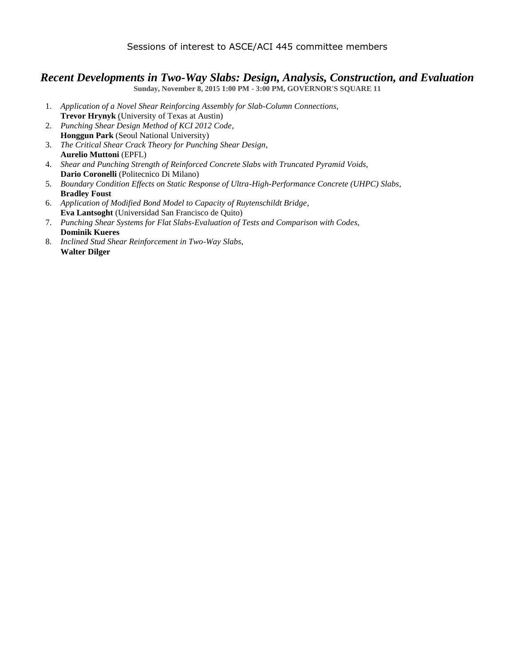#### Sessions of interest to ASCE/ACI 445 committee members

### *Recent Developments in Two-Way Slabs: Design, Analysis, Construction, and Evaluation*

**Sunday, November 8, 2015 1:00 PM - 3:00 PM, GOVERNOR'S SQUARE 11**

- 1. *Application of a Novel Shear Reinforcing Assembly for Slab-Column Connections*, **Trevor Hrynyk** (University of Texas at Austin)
- 2. *Punching Shear Design Method of KCI 2012 Code,* **Honggun Park** (Seoul National University)
- 3. *The Critical Shear Crack Theory for Punching Shear Design*, **Aurelio Muttoni** (EPFL)
- 4. *Shear and Punching Strength of Reinforced Concrete Slabs with Truncated Pyramid Voids,* **Dario Coronelli** (Politecnico Di Milano)
- 5. *Boundary Condition Effects on Static Response of Ultra-High-Performance Concrete (UHPC) Slabs*, **Bradley Foust**
- 6. *Application of Modified Bond Model to Capacity of Ruytenschildt Bridge*, **Eva Lantsoght** (Universidad San Francisco de Quito)
- 7. *Punching Shear Systems for Flat Slabs-Evaluation of Tests and Comparison with Codes*, **Dominik Kueres**
- 8. *Inclined Stud Shear Reinforcement in Two-Way Slabs*, **Walter Dilger**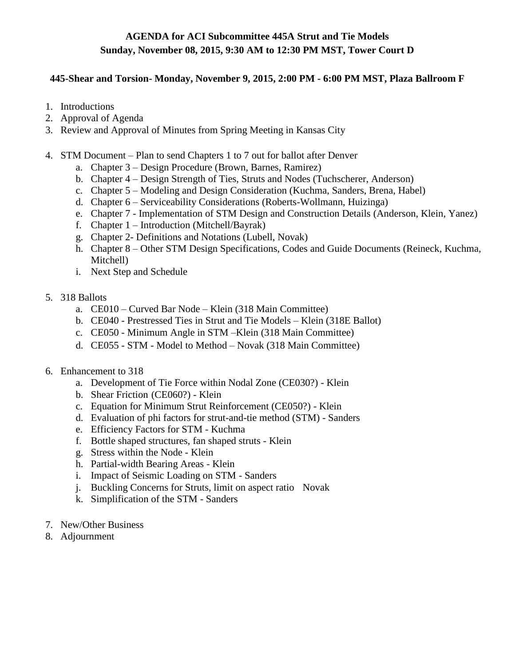# **AGENDA for ACI Subcommittee 445A Strut and Tie Models Sunday, November 08, 2015, 9:30 AM to 12:30 PM MST, Tower Court D**

#### **445-Shear and Torsion- Monday, November 9, 2015, 2:00 PM - 6:00 PM MST, Plaza Ballroom F**

- 1. Introductions
- 2. Approval of Agenda
- 3. Review and Approval of Minutes from Spring Meeting in Kansas City
- 4. STM Document Plan to send Chapters 1 to 7 out for ballot after Denver
	- a. Chapter 3 Design Procedure (Brown, Barnes, Ramirez)
	- b. Chapter 4 Design Strength of Ties, Struts and Nodes (Tuchscherer, Anderson)
	- c. Chapter 5 Modeling and Design Consideration (Kuchma, Sanders, Brena, Habel)
	- d. Chapter 6 Serviceability Considerations (Roberts-Wollmann, Huizinga)
	- e. Chapter 7 Implementation of STM Design and Construction Details (Anderson, Klein, Yanez)
	- f. Chapter 1 Introduction (Mitchell/Bayrak)
	- g. Chapter 2- Definitions and Notations (Lubell, Novak)
	- h. Chapter 8 Other STM Design Specifications, Codes and Guide Documents (Reineck, Kuchma, Mitchell)
	- i. Next Step and Schedule
- 5. 318 Ballots
	- a. CE010 Curved Bar Node Klein (318 Main Committee)
	- b. CE040 Prestressed Ties in Strut and Tie Models Klein (318E Ballot)
	- c. CE050 Minimum Angle in STM –Klein (318 Main Committee)
	- d. CE055 STM Model to Method Novak (318 Main Committee)
- 6. Enhancement to 318
	- a. Development of Tie Force within Nodal Zone (CE030?) Klein
	- b. Shear Friction (CE060?) Klein
	- c. Equation for Minimum Strut Reinforcement (CE050?) Klein
	- d. Evaluation of phi factors for strut-and-tie method (STM) Sanders
	- e. Efficiency Factors for STM Kuchma
	- f. Bottle shaped structures, fan shaped struts Klein
	- g. Stress within the Node Klein
	- h. Partial-width Bearing Areas Klein
	- i. Impact of Seismic Loading on STM Sanders
	- j. Buckling Concerns for Struts, limit on aspect ratio Novak
	- k. Simplification of the STM Sanders
- 7. New/Other Business
- 8. Adjournment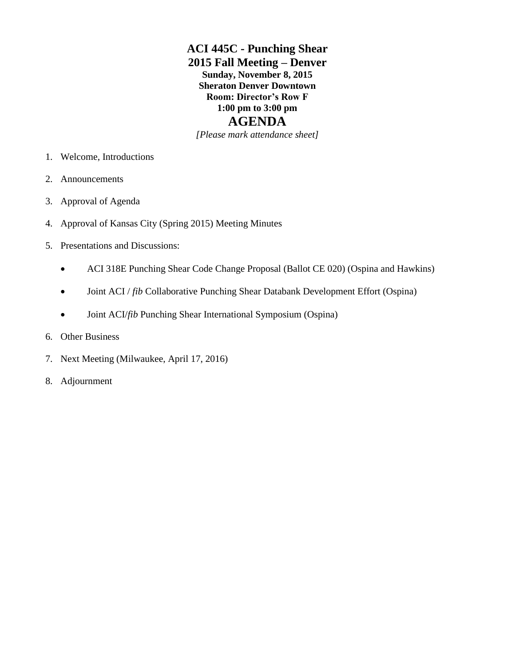# **ACI 445C - Punching Shear 2015 Fall Meeting – Denver Sunday, November 8, 2015 Sheraton Denver Downtown Room: Director's Row F 1:00 pm to 3:00 pm AGENDA**

*[Please mark attendance sheet]*

- 1. Welcome, Introductions
- 2. Announcements
- 3. Approval of Agenda
- 4. Approval of Kansas City (Spring 2015) Meeting Minutes
- 5. Presentations and Discussions:
	- ACI 318E Punching Shear Code Change Proposal (Ballot CE 020) (Ospina and Hawkins)
	- Joint ACI / *fib* Collaborative Punching Shear Databank Development Effort (Ospina)
	- Joint ACI/*fib* Punching Shear International Symposium (Ospina)
- 6. Other Business
- 7. Next Meeting (Milwaukee, April 17, 2016)
- 8. Adjournment